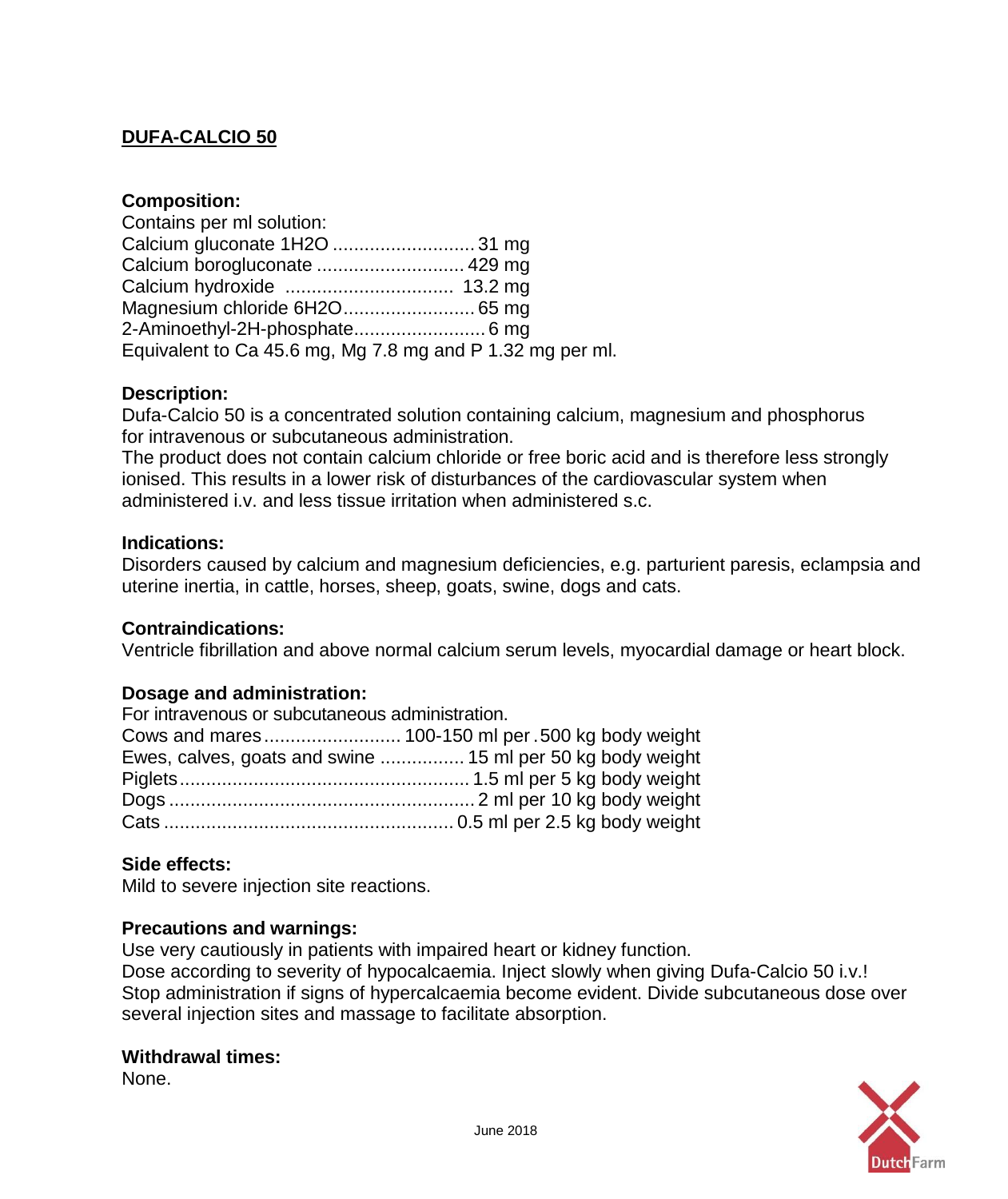# **DUFA-CALCIO 50**

# **Composition:**

| Contains per ml solution:                                 |  |
|-----------------------------------------------------------|--|
|                                                           |  |
| Calcium borogluconate  429 mg                             |  |
|                                                           |  |
|                                                           |  |
| 2-Aminoethyl-2H-phosphate 6 mg                            |  |
| Equivalent to Ca 45.6 mg, Mg 7.8 mg and P 1.32 mg per ml. |  |

# **Description:**

Dufa-Calcio 50 is a concentrated solution containing calcium, magnesium and phosphorus for intravenous or subcutaneous administration.

The product does not contain calcium chloride or free boric acid and is therefore less strongly ionised. This results in a lower risk of disturbances of the cardiovascular system when administered i.v. and less tissue irritation when administered s.c.

# **Indications:**

Disorders caused by calcium and magnesium deficiencies, e.g. parturient paresis, eclampsia and uterine inertia, in cattle, horses, sheep, goats, swine, dogs and cats.

# **Contraindications:**

Ventricle fibrillation and above normal calcium serum levels, myocardial damage or heart block.

# **Dosage and administration:**

| For intravenous or subcutaneous administration. |                                                            |
|-------------------------------------------------|------------------------------------------------------------|
|                                                 |                                                            |
|                                                 | Ewes, calves, goats and swine  15 ml per 50 kg body weight |
|                                                 |                                                            |
|                                                 |                                                            |
|                                                 |                                                            |

# **Side effects:**

Mild to severe injection site reactions.

# **Precautions and warnings:**

Use very cautiously in patients with impaired heart or kidney function.

Dose according to severity of hypocalcaemia. Inject slowly when giving Dufa-Calcio 50 i.v.! Stop administration if signs of hypercalcaemia become evident. Divide subcutaneous dose over several injection sites and massage to facilitate absorption.

#### **Withdrawal times:**

None.